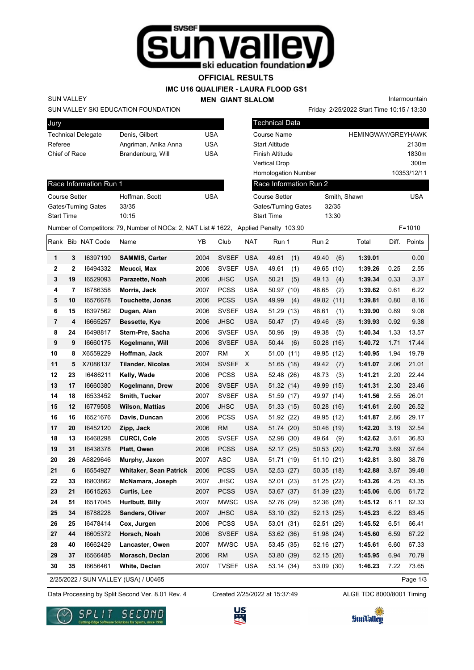

**OFFICIAL RESULTS**

**IMC U16 QUALIFIER - LAURA FLOOD GS1**

**MEN GIANT SLALOM**

Intermountain

Friday 2/25/2022 Start Time 10:15 / 13:30

SUN VALLEY SKI EDUCATION FOUNDATION

| Jury                      |                      |     |
|---------------------------|----------------------|-----|
| <b>Technical Delegate</b> | Denis, Gilbert       | USA |
| Referee                   | Angriman, Anika Anna | USA |
| Chief of Race             | Brandenburg, Will    | USA |
|                           |                      |     |

| <b>Technical Data</b>      |                           |             |
|----------------------------|---------------------------|-------------|
| Course Name                | <b>HEMINGWAY/GREYHAWK</b> |             |
| Start Altitude             |                           | 2130m       |
| Finish Altitude            |                           | 1830m       |
| Vertical Drop              |                           | 300m        |
| <b>Homologation Number</b> |                           | 10353/12/11 |
| Race Information Run 2     |                           |             |
| <b>Course Setter</b>       | Smith, Shawn              | USA         |
| Gates/Turning Gates        | 32/35                     |             |
| Start Time                 | 13:30                     |             |
| ed Penalty 103.90          |                           | $F = 1010$  |

### Race Information Run 1

SUN VALLEY

| Hoffman, Scott | USA |
|----------------|-----|
| 33/35          |     |
| 10.15          |     |
|                |     |

|                  |             |                   | Number of Competitors: 79, Number of NOCs: 2, NAT List # 1622, Applied Penalty 103.90 |      |              |            |              |              |         |       | $F = 1010$ |
|------------------|-------------|-------------------|---------------------------------------------------------------------------------------|------|--------------|------------|--------------|--------------|---------|-------|------------|
|                  |             | Rank Bib NAT Code | Name                                                                                  | YB   | Club         | NAT        | Run 1        | Run 2        | Total   | Diff. | Points     |
| 1                | 3           | 16397190          | <b>SAMMIS, Carter</b>                                                                 | 2004 | <b>SVSEF</b> | <b>USA</b> | 49.61<br>(1) | 49.40<br>(6) | 1:39.01 |       | 0.00       |
| $\mathbf{2}$     | $\mathbf 2$ | 16494332          | Meucci, Max                                                                           | 2006 | <b>SVSEF</b> | <b>USA</b> | 49.61<br>(1) | 49.65 (10)   | 1:39.26 | 0.25  | 2.55       |
| 3                | 19          | 16529093          | Parazette, Noah                                                                       | 2006 | <b>JHSC</b>  | <b>USA</b> | 50.21<br>(5) | 49.13<br>(4) | 1:39.34 | 0.33  | 3.37       |
| 4                | 7           | 16786358          | Morris, Jack                                                                          | 2007 | <b>PCSS</b>  | <b>USA</b> | 50.97 (10)   | 48.65<br>(2) | 1:39.62 | 0.61  | 6.22       |
| 5                | 10          | 16576678          | Touchette, Jonas                                                                      | 2006 | <b>PCSS</b>  | <b>USA</b> | 49.99<br>(4) | 49.82 (11)   | 1:39.81 | 0.80  | 8.16       |
| 6                | 15          | 16397562          | Dugan, Alan                                                                           | 2006 | <b>SVSEF</b> | <b>USA</b> | 51.29 (13)   | 48.61<br>(1) | 1:39.90 | 0.89  | 9.08       |
| 7                | 4           | 16665257          | Bessette, Kye                                                                         | 2006 | <b>JHSC</b>  | <b>USA</b> | 50.47<br>(7) | 49.46<br>(8) | 1:39.93 | 0.92  | 9.38       |
| 8                | 24          | 16498817          | Stern-Pre, Sacha                                                                      | 2006 | <b>SVSEF</b> | <b>USA</b> | 50.96<br>(9) | 49.38<br>(5) | 1:40.34 | 1.33  | 13.57      |
| $\boldsymbol{9}$ | 9           | 16660175          | Kogelmann, Will                                                                       | 2006 | <b>SVSEF</b> | <b>USA</b> | 50.44<br>(6) | 50.28 (16)   | 1:40.72 | 1.71  | 17.44      |
| 10               | 8           | X6559229          | Hoffman, Jack                                                                         | 2007 | <b>RM</b>    | Χ          | 51.00 (11)   | 49.95 (12)   | 1:40.95 | 1.94  | 19.79      |
| 11               | 5           | X7086137          | <b>Tilander, Nicolas</b>                                                              | 2004 | <b>SVSEF</b> | X          | 51.65 (18)   | 49.42<br>(7) | 1:41.07 | 2.06  | 21.01      |
| 12               | 23          | 16486211          | Kelly, Wade                                                                           | 2006 | <b>PCSS</b>  | <b>USA</b> | 52.48 (26)   | 48.73<br>(3) | 1:41.21 | 2.20  | 22.44      |
| 13               | 17          | 16660380          | Kogelmann, Drew                                                                       | 2006 | <b>SVSEF</b> | <b>USA</b> | 51.32 (14)   | 49.99 (15)   | 1:41.31 | 2.30  | 23.46      |
| 14               | 18          | 16533452          | Smith, Tucker                                                                         | 2007 | <b>SVSEF</b> | <b>USA</b> | 51.59 (17)   | 49.97 (14)   | 1:41.56 | 2.55  | 26.01      |
| 15               | 12          | 16779508          | <b>Wilson, Mattias</b>                                                                | 2006 | <b>JHSC</b>  | <b>USA</b> | 51.33 (15)   | 50.28 (16)   | 1:41.61 | 2.60  | 26.52      |
| 16               | 16          | 16521676          | Davis, Duncan                                                                         | 2006 | <b>PCSS</b>  | <b>USA</b> | 51.92 (22)   | 49.95 (12)   | 1:41.87 | 2.86  | 29.17      |
| 17               | 20          | 16452120          | Zipp, Jack                                                                            | 2006 | <b>RM</b>    | <b>USA</b> | 51.74 (20)   | 50.46 (19)   | 1:42.20 | 3.19  | 32.54      |
| 18               | 13          | 16468298          | <b>CURCI, Cole</b>                                                                    | 2005 | <b>SVSEF</b> | <b>USA</b> | 52.98 (30)   | 49.64<br>(9) | 1:42.62 | 3.61  | 36.83      |
| 19               | 31          | 16438378          | Platt, Owen                                                                           | 2006 | <b>PCSS</b>  | <b>USA</b> | 52.17 (25)   | 50.53 (20)   | 1:42.70 | 3.69  | 37.64      |
| 20               | 26          | A6829646          | Murphy, Jaxon                                                                         | 2007 | <b>ASC</b>   | <b>USA</b> | 51.71 (19)   | 51.10 (21)   | 1:42.81 | 3.80  | 38.76      |
| 21               | 6           | 16554927          | <b>Whitaker, Sean Patrick</b>                                                         | 2006 | <b>PCSS</b>  | <b>USA</b> | 52.53 (27)   | 50.35 (18)   | 1:42.88 | 3.87  | 39.48      |
| 22               | 33          | 16803862          | McNamara, Joseph                                                                      | 2007 | <b>JHSC</b>  | <b>USA</b> | 52.01 (23)   | 51.25 (22)   | 1:43.26 | 4.25  | 43.35      |
| 23               | 21          | 16615263          | Curtis, Lee                                                                           | 2007 | <b>PCSS</b>  | <b>USA</b> | 53.67 (37)   | 51.39 (23)   | 1:45.06 | 6.05  | 61.72      |
| 24               | 51          | 16517045          | Hurlbutt, Billy                                                                       | 2007 | <b>MWSC</b>  | <b>USA</b> | 52.76 (29)   | 52.36 (28)   | 1:45.12 | 6.11  | 62.33      |
| 25               | 34          | 16788228          | <b>Sanders, Oliver</b>                                                                | 2007 | <b>JHSC</b>  | <b>USA</b> | 53.10 (32)   | 52.13 (25)   | 1:45.23 | 6.22  | 63.45      |
| 26               | 25          | 16478414          | Cox, Jurgen                                                                           | 2006 | <b>PCSS</b>  | <b>USA</b> | 53.01 (31)   | 52.51 (29)   | 1:45.52 | 6.51  | 66.41      |
| 27               | 44          | 16605372          | Horsch, Noah                                                                          | 2006 | <b>SVSEF</b> | <b>USA</b> | 53.62 (36)   | 51.98 (24)   | 1:45.60 | 6.59  | 67.22      |
| 28               | 40          | 16662429          | Lancaster, Owen                                                                       | 2007 | <b>MWSC</b>  | <b>USA</b> | 53.45 (35)   | 52.16 (27)   | 1:45.61 | 6.60  | 67.33      |
| 29               | 37          | 16566485          | Morasch, Declan                                                                       | 2006 | <b>RM</b>    | <b>USA</b> | 53.80 (39)   | 52.15 (26)   | 1:45.95 | 6.94  | 70.79      |
| 30               | 35          | 16656461          | White, Declan                                                                         | 2007 | <b>TVSEF</b> | <b>USA</b> | 53.14 (34)   | 53.09 (30)   | 1:46.23 | 7.22  | 73.65      |
|                  |             |                   | 2/25/2022 / SUN VALLEY (USA) / U0465                                                  |      |              |            |              |              |         |       | Page 1/3   |

2/25/2022 / SUN VALLEY (USA) / U0465

Data Processing by Split Second Ver. 8.01 Rev. 4 Created 2/25/2022 at 15:37:49 ALGE TDC 8000/8001 Timing Created 2/25/2022 at 15:37:49





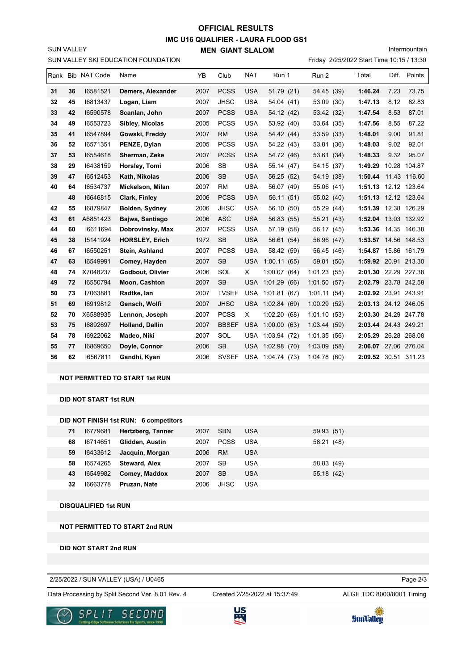## **IMC U16 QUALIFIER - LAURA FLOOD GS1 MEN GIANT SLALOM OFFICIAL RESULTS**

Intermountain

SUN VALLEY

|    |    |                   | SUN VALLEY SKI EDUCATION FOUNDATION |      |              |            |                  | Friday 2/25/2022 Start Time 10:15 / 13:30 |                      |       |              |
|----|----|-------------------|-------------------------------------|------|--------------|------------|------------------|-------------------------------------------|----------------------|-------|--------------|
|    |    | Rank Bib NAT Code | Name                                | YB   | Club         | <b>NAT</b> | Run 1            | Run 2                                     | Total                | Diff. | Points       |
| 31 | 36 | 16581521          | Demers, Alexander                   | 2007 | <b>PCSS</b>  | <b>USA</b> | 51.79 (21)       | 54.45 (39)                                | 1:46.24              | 7.23  | 73.75        |
| 32 | 45 | 16813437          | Logan, Liam                         | 2007 | <b>JHSC</b>  | <b>USA</b> | 54.04 (41)       | 53.09<br>(30)                             | 1:47.13              | 8.12  | 82.83        |
| 33 | 42 | 16590578          | Scanlan, John                       | 2007 | <b>PCSS</b>  | <b>USA</b> | 54.12 (42)       | 53.42 (32)                                | 1:47.54              | 8.53  | 87.01        |
| 34 | 49 | 16553723          | Sibley, Nicolas                     | 2005 | <b>PCSS</b>  | <b>USA</b> | 53.92 (40)       | 53.64 (35)                                | 1:47.56              | 8.55  | 87.22        |
| 35 | 41 | 16547894          | Gowski, Freddy                      | 2007 | <b>RM</b>    | <b>USA</b> | 54.42 (44)       | 53.59 (33)                                | 1:48.01              | 9.00  | 91.81        |
| 36 | 52 | 16571351          | PENZE, Dylan                        | 2005 | <b>PCSS</b>  | <b>USA</b> | 54.22 (43)       | 53.81 (36)                                | 1:48.03              | 9.02  | 92.01        |
| 37 | 53 | 16554618          | Sherman, Zeke                       | 2007 | <b>PCSS</b>  | <b>USA</b> | 54.72 (46)       | 53.61 (34)                                | 1:48.33              | 9.32  | 95.07        |
| 38 | 29 | 16438159          | Horsley, Tomi                       | 2006 | <b>SB</b>    | <b>USA</b> | 55.14 (47)       | 54.15 (37)                                | 1:49.29              |       | 10.28 104.87 |
| 39 | 47 | 16512453          | Kath, Nikolas                       | 2006 | <b>SB</b>    | <b>USA</b> | 56.25 (52)       | 54.19 (38)                                | 1:50.44              |       | 11.43 116.60 |
| 40 | 64 | 16534737          | Mickelson, Milan                    | 2007 | <b>RM</b>    | <b>USA</b> | 56.07 (49)       | 55.06 (41)                                | 1:51.13 12.12 123.64 |       |              |
|    | 48 | 16646815          | Clark, Finley                       | 2006 | <b>PCSS</b>  | <b>USA</b> | 56.11 (51)       | 55.02 (40)                                | 1:51.13              |       | 12.12 123.64 |
| 42 | 55 | 16879847          | <b>Bolden, Sydney</b>               | 2006 | <b>JHSC</b>  | <b>USA</b> | 56.10 (50)       | 55.29 (44)                                | 1:51.39              |       | 12.38 126.29 |
| 43 | 61 | A6851423          | Bajwa, Santiago                     | 2006 | <b>ASC</b>   | <b>USA</b> | 56.83 (55)       | 55.21 (43)                                | 1:52.04 13.03 132.92 |       |              |
| 44 | 60 | 16611694          | Dobrovinsky, Max                    | 2007 | <b>PCSS</b>  | <b>USA</b> | 57.19 (58)       | 56.17 (45)                                | 1:53.36 14.35 146.38 |       |              |
| 45 | 38 | 15141924          | <b>HORSLEY, Erich</b>               | 1972 | <b>SB</b>    | <b>USA</b> | 56.61 (54)       | 56.96 (47)                                | 1:53.57 14.56 148.53 |       |              |
| 46 | 67 | 16550251          | Stein, Ashland                      | 2007 | <b>PCSS</b>  | <b>USA</b> | 58.42 (59)       | 56.45 (46)                                | 1:54.87 15.86 161.79 |       |              |
| 47 | 63 | 16549991          | Comey, Hayden                       | 2007 | <b>SB</b>    | <b>USA</b> | 1:00.11(65)      | 59.81 (50)                                | 1:59.92 20.91 213.30 |       |              |
| 48 | 74 | X7048237          | Godbout, Olivier                    | 2006 | SOL          | X.         | 1:00.07(64)      | 1:01.23<br>(55)                           | 2:01.30 22.29 227.38 |       |              |
| 49 | 72 | 16550794          | Moon, Cashton                       | 2007 | <b>SB</b>    | <b>USA</b> | 1:01.29(66)      | 1:01.50(57)                               | 2:02.79 23.78 242.58 |       |              |
| 50 | 73 | 17063881          | Radtke, lan                         | 2007 | <b>TVSEF</b> | <b>USA</b> | 1:01.81(67)      | 1:01.11(54)                               | 2:02.92 23.91 243.91 |       |              |
| 51 | 69 | 16919812          | Gensch, Wolfi                       | 2007 | <b>JHSC</b>  | <b>USA</b> | 1:02.84(69)      | 1:00.29(52)                               | 2:03.13 24.12 246.05 |       |              |
| 52 | 70 | X6588935          | Lennon, Joseph                      | 2007 | <b>PCSS</b>  | X          | 1:02.20(68)      | 1:01.10(53)                               | 2:03.30 24.29 247.78 |       |              |
| 53 | 75 | 16892697          | <b>Holland, Dallin</b>              | 2007 | <b>BBSEF</b> | <b>USA</b> | 1:00.00(63)      | 1:03.44(59)                               | 2:03.44 24.43 249.21 |       |              |
| 54 | 78 | 16922062          | Madeo, Niki                         | 2007 | SOL          | USA        | 1:03.94(72)      | 1:01.35<br>(56)                           | 2:05.29 26.28 268.08 |       |              |
| 55 | 77 | 16869650          | Doyle, Connor                       | 2006 | <b>SB</b>    | <b>USA</b> | 1:02.98(70)      | 1:03.09<br>(58)                           | 2:06.07 27.06 276.04 |       |              |
| 56 | 62 | 16567811          | Gandhi, Kyan                        | 2006 | <b>SVSEF</b> |            | USA 1:04.74 (73) | 1:04.78(60)                               | 2:09.52 30.51 311.23 |       |              |

#### **NOT PERMITTED TO START 1st RUN**

**DID NOT START 1st RUN**

|    |          | DID NOT FINISH 1st RUN: 6 competitors |      |             |            |            |
|----|----------|---------------------------------------|------|-------------|------------|------------|
| 71 | 16779681 | Hertzberg, Tanner                     | 2007 | <b>SBN</b>  | <b>USA</b> | 59.93 (51) |
| 68 | 16714651 | Glidden, Austin                       | 2007 | <b>PCSS</b> | USA        | 58.21 (48) |
| 59 | 16433612 | Jacquin, Morgan                       | 2006 | <b>RM</b>   | USA        |            |
| 58 | 16574265 | <b>Steward, Alex</b>                  | 2007 | SB          | USA        | 58.83 (49) |
| 43 | 16549982 | Comey, Maddox                         | 2007 | <b>SB</b>   | USA        | 55.18 (42) |
| 32 | 16663778 | Pruzan, Nate                          | 2006 | <b>JHSC</b> | USA        |            |

**DISQUALIFIED 1st RUN**

#### **NOT PERMITTED TO START 2nd RUN**

**DID NOT START 2nd RUN**

2/25/2022 / SUN VALLEY (USA) / U0465

Data Processing by Split Second Ver. 8.01 Rev. 4 Created 2/25/2022 at 15:37:49 ALGE TDC 8000/8001 Timing

Created 2/25/2022 at 15:37:49

Page 2/3